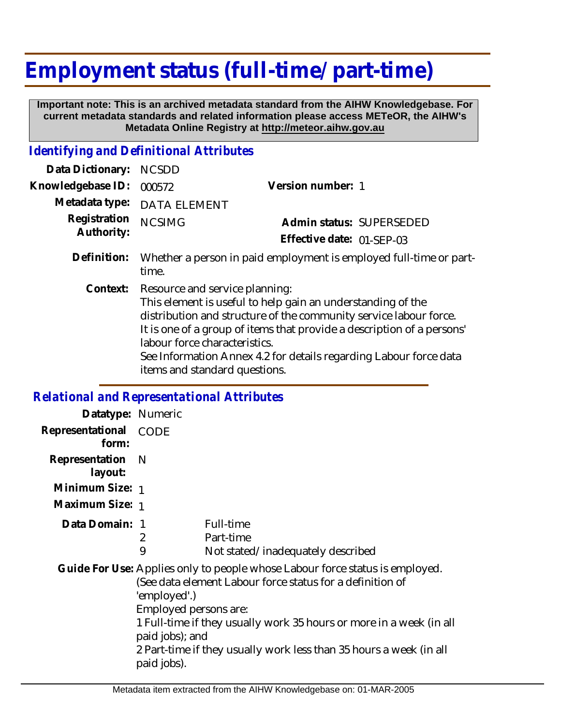## **Employment status (full-time/ part-time)**

 **Important note: This is an archived metadata standard from the AIHW Knowledgebase. For current metadata standards and related information please access METeOR, the AIHW's Metadata Online Registry at http://meteor.aihw.gov.au**

## *Identifying and Definitional Attributes*

| Data Dictionary:           | <b>NCSDD</b>                                                                                                                                                                                                                                                                                                                                                                        |                                                                    |
|----------------------------|-------------------------------------------------------------------------------------------------------------------------------------------------------------------------------------------------------------------------------------------------------------------------------------------------------------------------------------------------------------------------------------|--------------------------------------------------------------------|
| Knowledgebase ID:          | 000572                                                                                                                                                                                                                                                                                                                                                                              | Version number: 1                                                  |
| Metadata type:             | DATA ELEMENT                                                                                                                                                                                                                                                                                                                                                                        |                                                                    |
| Registration<br>Authority: | <b>NCSIMG</b>                                                                                                                                                                                                                                                                                                                                                                       | Admin status: SUPERSEDED                                           |
|                            |                                                                                                                                                                                                                                                                                                                                                                                     | Effective date: 01-SEP-03                                          |
| Definition:                | time.                                                                                                                                                                                                                                                                                                                                                                               | Whether a person in paid employment is employed full-time or part- |
| Context:                   | Resource and service planning:<br>This element is useful to help gain an understanding of the<br>distribution and structure of the community service labour force.<br>It is one of a group of items that provide a description of a persons'<br>labour force characteristics.<br>See Information Annex 4.2 for details regarding Labour force data<br>items and standard questions. |                                                                    |

## *Relational and Representational Attributes*

| Datatype: Numeric              |                                                                         |                                                                                                                                                                                                                                                                                        |
|--------------------------------|-------------------------------------------------------------------------|----------------------------------------------------------------------------------------------------------------------------------------------------------------------------------------------------------------------------------------------------------------------------------------|
| Representational CODE<br>form: |                                                                         |                                                                                                                                                                                                                                                                                        |
| Representation N<br>layout:    |                                                                         |                                                                                                                                                                                                                                                                                        |
| Minimum Size: 1                |                                                                         |                                                                                                                                                                                                                                                                                        |
| Maximum Size: 1                |                                                                         |                                                                                                                                                                                                                                                                                        |
| Data Domain: 1                 | 2<br>9                                                                  | Full-time<br>Part-time<br>Not stated/inadequately described                                                                                                                                                                                                                            |
|                                | 'employed'.)<br>Employed persons are:<br>paid jobs); and<br>paid jobs). | Guide For Use: Applies only to people whose Labour force status is employed.<br>(See data element Labour force status for a definition of<br>1 Full-time if they usually work 35 hours or more in a week (in all<br>2 Part-time if they usually work less than 35 hours a week (in all |